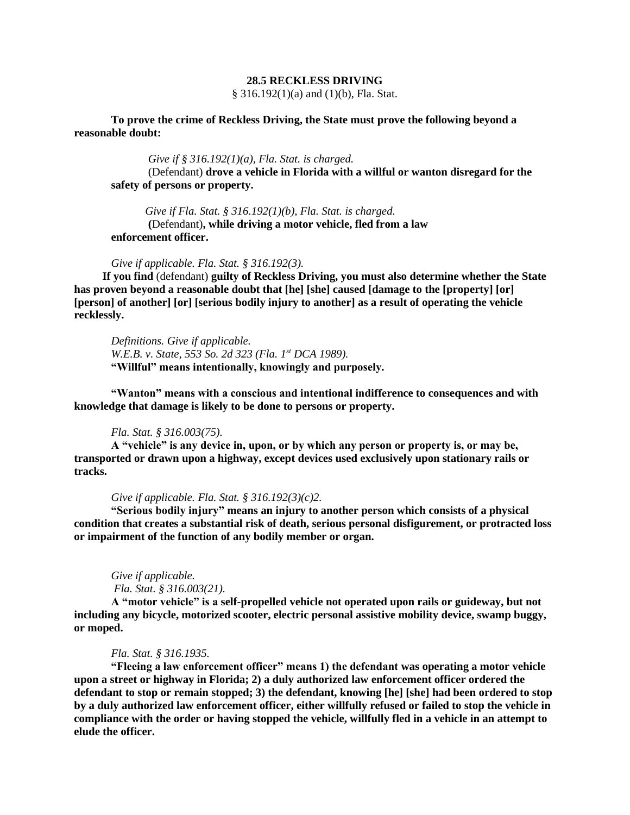# **28.5 RECKLESS DRIVING**

§ 316.192(1)(a) and (1)(b), Fla. Stat.

**To prove the crime of Reckless Driving, the State must prove the following beyond a reasonable doubt:**

*Give if § 316.192(1)(a), Fla. Stat. is charged.* 

(Defendant) **drove a vehicle in Florida with a willful or wanton disregard for the safety of persons or property.**

*Give if Fla. Stat. § 316.192(1)(b), Fla. Stat. is charged.* **(**Defendant)**, while driving a motor vehicle, fled from a law enforcement officer.** 

*Give if applicable. Fla. Stat. § 316.192(3).*

 **If you find** (defendant) **guilty of Reckless Driving, you must also determine whether the State has proven beyond a reasonable doubt that [he] [she] caused [damage to the [property] [or] [person] of another] [or] [serious bodily injury to another] as a result of operating the vehicle recklessly.** 

*Definitions. Give if applicable. W.E.B. v. State, 553 So. 2d 323 (Fla. 1st DCA 1989).* **"Willful" means intentionally, knowingly and purposely.**

**"Wanton" means with a conscious and intentional indifference to consequences and with knowledge that damage is likely to be done to persons or property.**

#### *Fla. Stat. § 316.003(75).*

**A "vehicle" is any device in, upon, or by which any person or property is, or may be, transported or drawn upon a highway, except devices used exclusively upon stationary rails or tracks.**

# *Give if applicable. Fla. Stat. § 316.192(3)(c)2.*

**"Serious bodily injury" means an injury to another person which consists of a physical condition that creates a substantial risk of death, serious personal disfigurement, or protracted loss or impairment of the function of any bodily member or organ.** 

#### *Give if applicable.*

*Fla. Stat. § 316.003(21).*

 **A "motor vehicle" is a self-propelled vehicle not operated upon rails or guideway, but not including any bicycle, motorized scooter, electric personal assistive mobility device, swamp buggy, or moped.** 

## *Fla. Stat. § 316.1935.*

**"Fleeing a law enforcement officer" means 1) the defendant was operating a motor vehicle upon a street or highway in Florida; 2) a duly authorized law enforcement officer ordered the defendant to stop or remain stopped; 3) the defendant, knowing [he] [she] had been ordered to stop by a duly authorized law enforcement officer, either willfully refused or failed to stop the vehicle in compliance with the order or having stopped the vehicle, willfully fled in a vehicle in an attempt to elude the officer.**